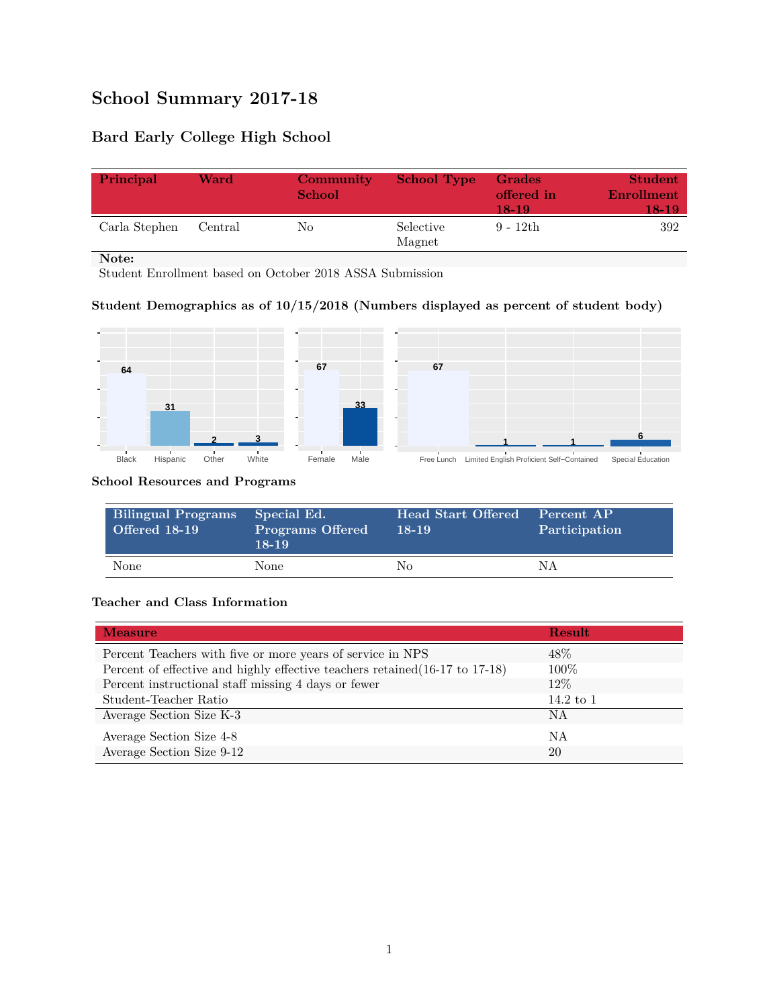# **School Summary 2017-18**

## **Bard Early College High School**

| Principal     | Ward    | Community<br><b>School</b> | <b>School Type</b>  | Grades<br>offered in<br>18-19 | <b>Student</b><br>Enrollment<br>18-19. |
|---------------|---------|----------------------------|---------------------|-------------------------------|----------------------------------------|
| Carla Stephen | Central | No                         | Selective<br>Magnet | $9 - 12th$                    | 392                                    |

**Note:**

Student Enrollment based on October 2018 ASSA Submission

### **Student Demographics as of 10/15/2018 (Numbers displayed as percent of student body)**



#### **School Resources and Programs**

| <b>Bilingual Programs</b><br><b>Offered 18-19</b> | Special Ed.<br><b>Programs Offered</b><br>$18-19$ | Head Start Offered<br>$18-19$ | Percent AP<br>Participation |
|---------------------------------------------------|---------------------------------------------------|-------------------------------|-----------------------------|
| None                                              | None.                                             | Nο                            | N A                         |

#### **Teacher and Class Information**

| <b>Measure</b>                                                               | Result      |
|------------------------------------------------------------------------------|-------------|
| Percent Teachers with five or more years of service in NPS                   | $48\%$      |
| Percent of effective and highly effective teachers retained (16-17 to 17-18) | $100\%$     |
| Percent instructional staff missing 4 days or fewer                          | $12\%$      |
| Student-Teacher Ratio                                                        | 14.2 to $1$ |
| Average Section Size K-3                                                     | <b>NA</b>   |
| Average Section Size 4-8                                                     | ΝA          |
| Average Section Size 9-12                                                    | 20          |